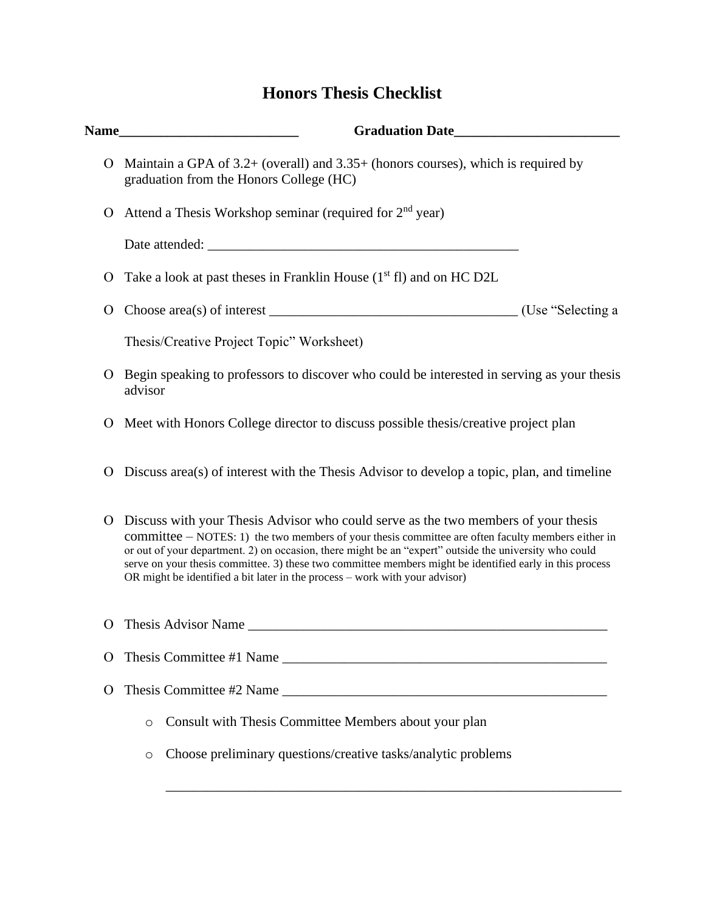## **Honors Thesis Checklist**

| Name_    | Graduation Date                                                                                                                                                                                                                                                                                                                                                                                                                                                                                 |
|----------|-------------------------------------------------------------------------------------------------------------------------------------------------------------------------------------------------------------------------------------------------------------------------------------------------------------------------------------------------------------------------------------------------------------------------------------------------------------------------------------------------|
| O        | Maintain a GPA of $3.2+$ (overall) and $3.35+$ (honors courses), which is required by<br>graduation from the Honors College (HC)                                                                                                                                                                                                                                                                                                                                                                |
| O        | Attend a Thesis Workshop seminar (required for 2 <sup>nd</sup> year)                                                                                                                                                                                                                                                                                                                                                                                                                            |
|          |                                                                                                                                                                                                                                                                                                                                                                                                                                                                                                 |
| O        | Take a look at past theses in Franklin House (1 <sup>st</sup> fl) and on HC D2L                                                                                                                                                                                                                                                                                                                                                                                                                 |
| O        |                                                                                                                                                                                                                                                                                                                                                                                                                                                                                                 |
|          | Thesis/Creative Project Topic" Worksheet)                                                                                                                                                                                                                                                                                                                                                                                                                                                       |
| O        | Begin speaking to professors to discover who could be interested in serving as your thesis<br>advisor                                                                                                                                                                                                                                                                                                                                                                                           |
| O        | Meet with Honors College director to discuss possible thesis/creative project plan                                                                                                                                                                                                                                                                                                                                                                                                              |
| O        | Discuss area(s) of interest with the Thesis Advisor to develop a topic, plan, and timeline                                                                                                                                                                                                                                                                                                                                                                                                      |
| O        | Discuss with your Thesis Advisor who could serve as the two members of your thesis<br>committee $-$ NOTES: 1) the two members of your thesis committee are often faculty members either in<br>or out of your department. 2) on occasion, there might be an "expert" outside the university who could<br>serve on your thesis committee. 3) these two committee members might be identified early in this process<br>OR might be identified a bit later in the process - work with your advisor) |
| O        | Thesis Advisor Name                                                                                                                                                                                                                                                                                                                                                                                                                                                                             |
| $\Omega$ | Thesis Committee #1 Name                                                                                                                                                                                                                                                                                                                                                                                                                                                                        |
| O        | Thesis Committee #2 Name                                                                                                                                                                                                                                                                                                                                                                                                                                                                        |
|          | Consult with Thesis Committee Members about your plan<br>$\circ$                                                                                                                                                                                                                                                                                                                                                                                                                                |
|          | Choose preliminary questions/creative tasks/analytic problems<br>O                                                                                                                                                                                                                                                                                                                                                                                                                              |
|          |                                                                                                                                                                                                                                                                                                                                                                                                                                                                                                 |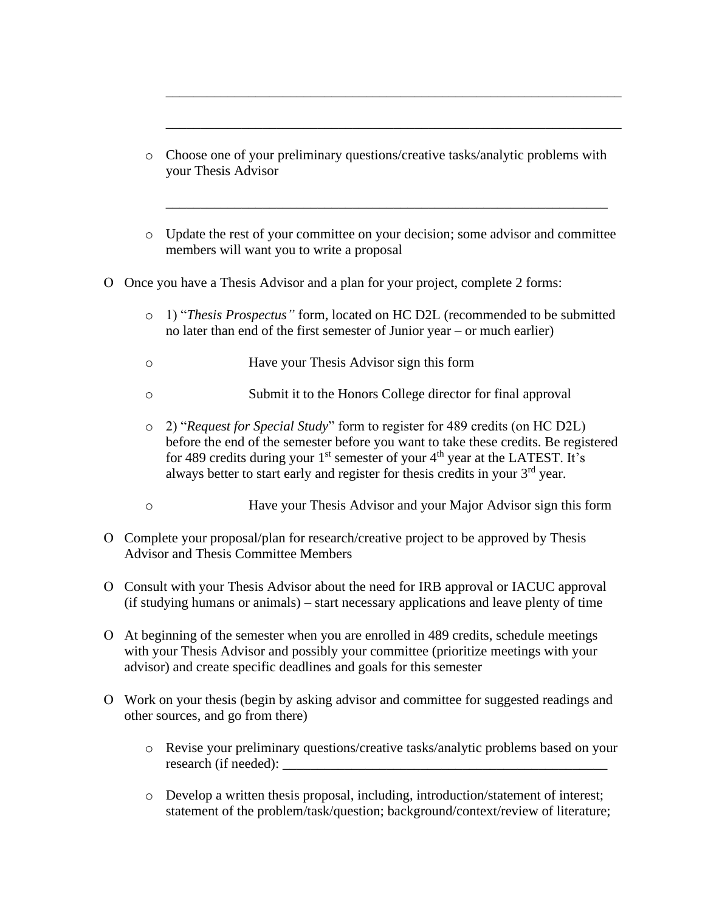o Choose one of your preliminary questions/creative tasks/analytic problems with your Thesis Advisor

\_\_\_\_\_\_\_\_\_\_\_\_\_\_\_\_\_\_\_\_\_\_\_\_\_\_\_\_\_\_\_\_\_\_\_\_\_\_\_\_\_\_\_\_\_\_\_\_\_\_\_\_\_\_\_\_\_\_\_\_\_\_\_\_\_\_

\_\_\_\_\_\_\_\_\_\_\_\_\_\_\_\_\_\_\_\_\_\_\_\_\_\_\_\_\_\_\_\_\_\_\_\_\_\_\_\_\_\_\_\_\_\_\_\_\_\_\_\_\_\_\_\_\_\_\_\_\_\_\_\_\_\_

o Update the rest of your committee on your decision; some advisor and committee members will want you to write a proposal

\_\_\_\_\_\_\_\_\_\_\_\_\_\_\_\_\_\_\_\_\_\_\_\_\_\_\_\_\_\_\_\_\_\_\_\_\_\_\_\_\_\_\_\_\_\_\_\_\_\_\_\_\_\_\_\_\_\_\_\_\_\_\_\_

- Once you have a Thesis Advisor and a plan for your project, complete 2 forms:
	- o 1) "*Thesis Prospectus"* form, located on HC D2L (recommended to be submitted no later than end of the first semester of Junior year – or much earlier)
	- o Have your Thesis Advisor sign this form
	- o Submit it to the Honors College director for final approval
	- o 2) "*Request for Special Study*" form to register for 489 credits (on HC D2L) before the end of the semester before you want to take these credits. Be registered for 489 credits during your  $1<sup>st</sup>$  semester of your  $4<sup>th</sup>$  year at the LATEST. It's always better to start early and register for thesis credits in your 3<sup>rd</sup> year.
	- o Have your Thesis Advisor and your Major Advisor sign this form
- Complete your proposal/plan for research/creative project to be approved by Thesis Advisor and Thesis Committee Members
- Consult with your Thesis Advisor about the need for IRB approval or IACUC approval (if studying humans or animals) – start necessary applications and leave plenty of time
- At beginning of the semester when you are enrolled in 489 credits, schedule meetings with your Thesis Advisor and possibly your committee (prioritize meetings with your advisor) and create specific deadlines and goals for this semester
- Work on your thesis (begin by asking advisor and committee for suggested readings and other sources, and go from there)
	- o Revise your preliminary questions/creative tasks/analytic problems based on your research (if needed):
	- o Develop a written thesis proposal, including, introduction/statement of interest; statement of the problem/task/question; background/context/review of literature;